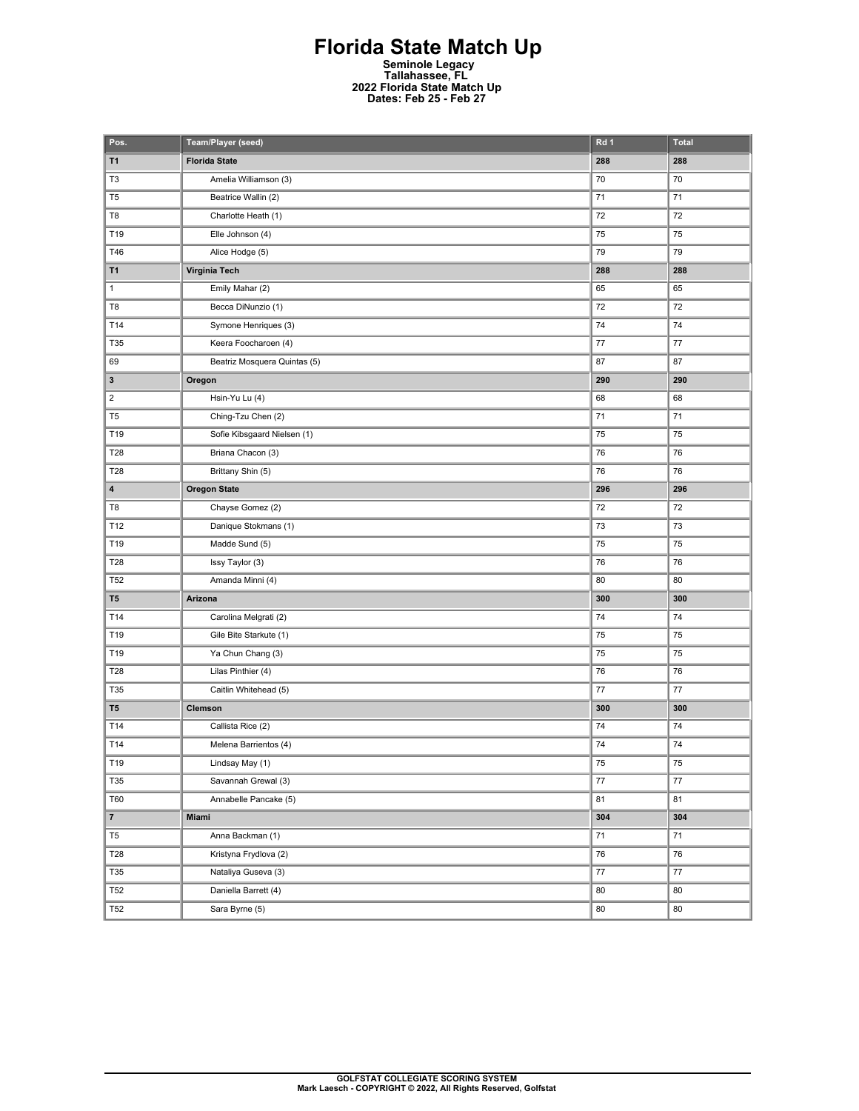## **Florida State Match Up Seminole Legacy Tallahassee, FL 2022 Florida State Match Up Dates: Feb 25 - Feb 27**

| Pos.                    | Team/Player (seed)           | Rd 1   | <b>Total</b> |
|-------------------------|------------------------------|--------|--------------|
| T1                      | <b>Florida State</b>         | 288    | 288          |
| T3                      | Amelia Williamson (3)        | 70     | 70           |
| T <sub>5</sub>          | Beatrice Wallin (2)          | 71     | 71           |
| T8                      | Charlotte Heath (1)          | 72     | 72           |
| T19                     | Elle Johnson (4)             | 75     | 75           |
| T46                     | Alice Hodge (5)              | 79     | 79           |
| T1                      | Virginia Tech                | 288    | 288          |
| 1                       | Emily Mahar (2)              | 65     | 65           |
| T <sub>8</sub>          | Becca DiNunzio (1)           | 72     | 72           |
| T14                     | Symone Henriques (3)         | 74     | 74           |
| T35                     | Keera Foocharoen (4)         | 77     | 77           |
| 69                      | Beatriz Mosquera Quintas (5) | 87     | 87           |
| 3                       | Oregon                       | 290    | 290          |
| $\overline{\mathbf{c}}$ | Hsin-Yu Lu (4)               | 68     | 68           |
| T <sub>5</sub>          | Ching-Tzu Chen (2)           | 71     | 71           |
| T19                     | Sofie Kibsgaard Nielsen (1)  | 75     | 75           |
| T28                     | Briana Chacon (3)            | 76     | 76           |
| T28                     | Brittany Shin (5)            | 76     | 76           |
| 4                       | <b>Oregon State</b>          | 296    | 296          |
| T8                      | Chayse Gomez (2)             | 72     | 72           |
| T12                     | Danique Stokmans (1)         | 73     | 73           |
| T19                     | Madde Sund (5)               | 75     | 75           |
| T28                     | Issy Taylor (3)              | 76     | 76           |
| T <sub>52</sub>         | Amanda Minni (4)             | 80     | 80           |
| T <sub>5</sub>          | Arizona                      | 300    | 300          |
| T14                     | Carolina Melgrati (2)        | 74     | 74           |
| T19                     | Gile Bite Starkute (1)       | 75     | 75           |
| T19                     | Ya Chun Chang (3)            | 75     | 75           |
| T28                     | Lilas Pinthier (4)           | 76     | 76           |
| T35                     | Caitlin Whitehead (5)        | 77     | 77           |
| T <sub>5</sub>          | Clemson                      | 300    | 300          |
| T14                     | Callista Rice (2)            | 74     | 74           |
| T14                     | Melena Barrientos (4)        | 74     | 74           |
| T19                     | Lindsay May (1)              | 75     | 75           |
| T35                     | Savannah Grewal (3)          | $77\,$ | $77\,$       |
| <b>T60</b>              | Annabelle Pancake (5)        | 81     | 81           |
| $\overline{7}$          | Miami                        | 304    | 304          |
| T <sub>5</sub>          | Anna Backman (1)             | 71     | $\bf 71$     |
| T28                     | Kristyna Frydlova (2)        | 76     | 76           |
| T35                     | Nataliya Guseva (3)          | 77     | $77 \,$      |
| <b>T52</b>              | Daniella Barrett (4)         | 80     | 80           |
| <b>T52</b>              | Sara Byrne (5)               | 80     | 80           |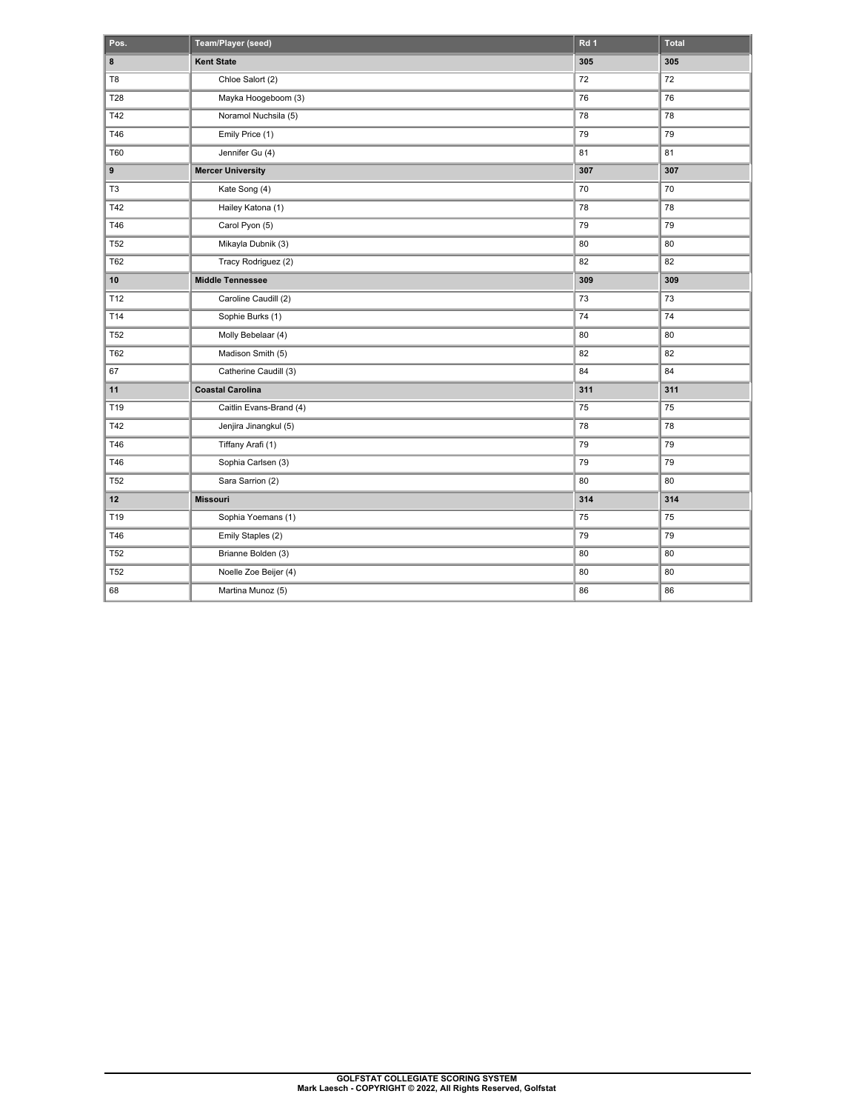| Pos.           | Team/Player (seed)       | Rd <sub>1</sub> | <b>Total</b> |
|----------------|--------------------------|-----------------|--------------|
| 8              | <b>Kent State</b>        | 305             | 305          |
| T <sub>8</sub> | Chloe Salort (2)         | 72              | 72           |
| <b>T28</b>     | Mayka Hoogeboom (3)      | 76              | 76           |
| T42            | Noramol Nuchsila (5)     | 78              | 78           |
| T46            | Emily Price (1)          | 79              | 79           |
| T60            | Jennifer Gu (4)          | 81              | 81           |
| 9              | <b>Mercer University</b> | 307             | 307          |
| T <sub>3</sub> | Kate Song (4)            | 70              | 70           |
| T42            | Hailey Katona (1)        | 78              | 78           |
| T46            | Carol Pyon (5)           | 79              | 79           |
| <b>T52</b>     | Mikayla Dubnik (3)       | 80              | 80           |
| <b>T62</b>     | Tracy Rodriguez (2)      | 82              | 82           |
| 10             | <b>Middle Tennessee</b>  | 309             | 309          |
| T12            | Caroline Caudill (2)     | 73              | 73           |
| T14            | Sophie Burks (1)         | 74              | 74           |
| <b>T52</b>     | Molly Bebelaar (4)       | 80              | 80           |
| T62            | Madison Smith (5)        | 82              | 82           |
| 67             | Catherine Caudill (3)    | 84              | 84           |
| 11             | <b>Coastal Carolina</b>  | 311             | 311          |
| T19            | Caitlin Evans-Brand (4)  | 75              | 75           |
| T42            | Jenjira Jinangkul (5)    | 78              | 78           |
| T46            | Tiffany Arafi (1)        | 79              | 79           |
| T46            | Sophia Carlsen (3)       | 79              | 79           |
| <b>T52</b>     | Sara Sarrion (2)         | 80              | 80           |
| 12             | <b>Missouri</b>          | 314             | 314          |
| T19            | Sophia Yoemans (1)       | 75              | 75           |
| T46            | Emily Staples (2)        | 79              | 79           |
| <b>T52</b>     | Brianne Bolden (3)       | 80              | 80           |
| <b>T52</b>     | Noelle Zoe Beijer (4)    | 80              | 80           |
| 68             | Martina Munoz (5)        | 86              | 86           |